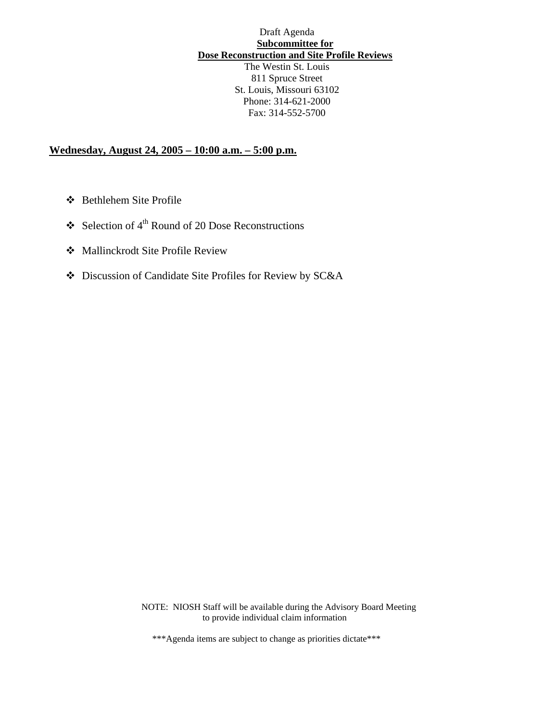# Draft Agenda **Subcommittee for Dose Reconstruction and Site Profile Reviews**  The Westin St. Louis

811 Spruce Street St. Louis, Missouri 63102 Phone: 314-621-2000 Fax: 314-552-5700

## **Wednesday, August 24, 2005 – 10:00 a.m. – 5:00 p.m.**

- Bethlehem Site Profile
- $\div$  Selection of 4<sup>th</sup> Round of 20 Dose Reconstructions
- Mallinckrodt Site Profile Review
- Discussion of Candidate Site Profiles for Review by SC&A

NOTE: NIOSH Staff will be available during the Advisory Board Meeting to provide individual claim information

\*\*\*Agenda items are subject to change as priorities dictate\*\*\*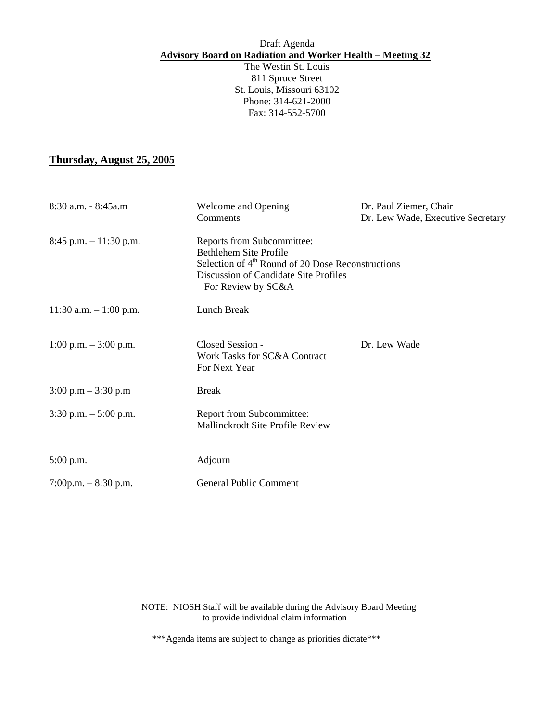#### Draft Agenda **Advisory Board on Radiation and Worker Health – Meeting 32**

The Westin St. Louis 811 Spruce Street St. Louis, Missouri 63102 Phone: 314-621-2000 Fax: 314-552-5700

## **Thursday, August 25, 2005**

| 8:30 a.m. - 8:45a.m                   | Welcome and Opening<br>Comments                                                                                                                                                             | Dr. Paul Ziemer, Chair<br>Dr. Lew Wade, Executive Secretary |
|---------------------------------------|---------------------------------------------------------------------------------------------------------------------------------------------------------------------------------------------|-------------------------------------------------------------|
| $8:45$ p.m. $-11:30$ p.m.             | Reports from Subcommittee:<br><b>Bethlehem Site Profile</b><br>Selection of 4 <sup>th</sup> Round of 20 Dose Reconstructions<br>Discussion of Candidate Site Profiles<br>For Review by SC&A |                                                             |
| 11:30 a.m. $-1:00$ p.m.               | Lunch Break                                                                                                                                                                                 |                                                             |
| 1:00 p.m. $-3:00$ p.m.                | Closed Session -<br>Work Tasks for SC&A Contract<br>For Next Year                                                                                                                           | Dr. Lew Wade                                                |
| $3:00 \text{ p.m} - 3:30 \text{ p.m}$ | <b>Break</b>                                                                                                                                                                                |                                                             |
| $3:30$ p.m. $-5:00$ p.m.              | <b>Report from Subcommittee:</b><br>Mallinckrodt Site Profile Review                                                                                                                        |                                                             |
| $5:00$ p.m.                           | Adjourn                                                                                                                                                                                     |                                                             |
| 7:00p.m. $-8:30$ p.m.                 | <b>General Public Comment</b>                                                                                                                                                               |                                                             |

NOTE: NIOSH Staff will be available during the Advisory Board Meeting to provide individual claim information

\*\*\*Agenda items are subject to change as priorities dictate\*\*\*